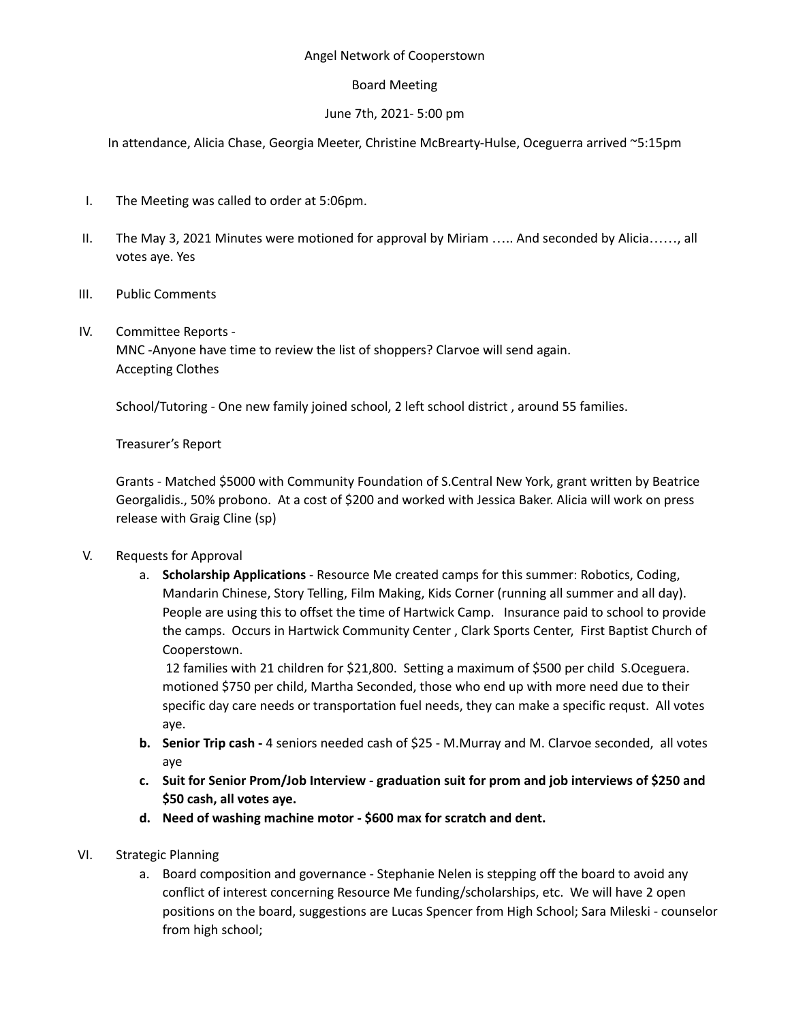### Angel Network of Cooperstown

### Board Meeting

## June 7th, 2021- 5:00 pm

In attendance, Alicia Chase, Georgia Meeter, Christine McBrearty-Hulse, Oceguerra arrived ~5:15pm

- I. The Meeting was called to order at 5:06pm.
- II. The May 3, 2021 Minutes were motioned for approval by Miriam ….. And seconded by Alicia……, all votes aye. Yes
- III. Public Comments
- IV. Committee Reports -

MNC -Anyone have time to review the list of shoppers? Clarvoe will send again. Accepting Clothes

School/Tutoring - One new family joined school, 2 left school district , around 55 families.

Treasurer's Report

Grants - Matched \$5000 with Community Foundation of S.Central New York, grant written by Beatrice Georgalidis., 50% probono. At a cost of \$200 and worked with Jessica Baker. Alicia will work on press release with Graig Cline (sp)

# V. Requests for Approval

a. **Scholarship Applications** - Resource Me created camps for this summer: Robotics, Coding, Mandarin Chinese, Story Telling, Film Making, Kids Corner (running all summer and all day). People are using this to offset the time of Hartwick Camp. Insurance paid to school to provide the camps. Occurs in Hartwick Community Center , Clark Sports Center, First Baptist Church of Cooperstown.

12 families with 21 children for \$21,800. Setting a maximum of \$500 per child S.Oceguera. motioned \$750 per child, Martha Seconded, those who end up with more need due to their specific day care needs or transportation fuel needs, they can make a specific requst. All votes aye.

- **b. Senior Trip cash -** 4 seniors needed cash of \$25 M.Murray and M. Clarvoe seconded, all votes aye
- **c. Suit for Senior Prom/Job Interview - graduation suit for prom and job interviews of \$250 and \$50 cash, all votes aye.**
- **d. Need of washing machine motor - \$600 max for scratch and dent.**
- VI. Strategic Planning
	- a. Board composition and governance Stephanie Nelen is stepping off the board to avoid any conflict of interest concerning Resource Me funding/scholarships, etc. We will have 2 open positions on the board, suggestions are Lucas Spencer from High School; Sara Mileski - counselor from high school;